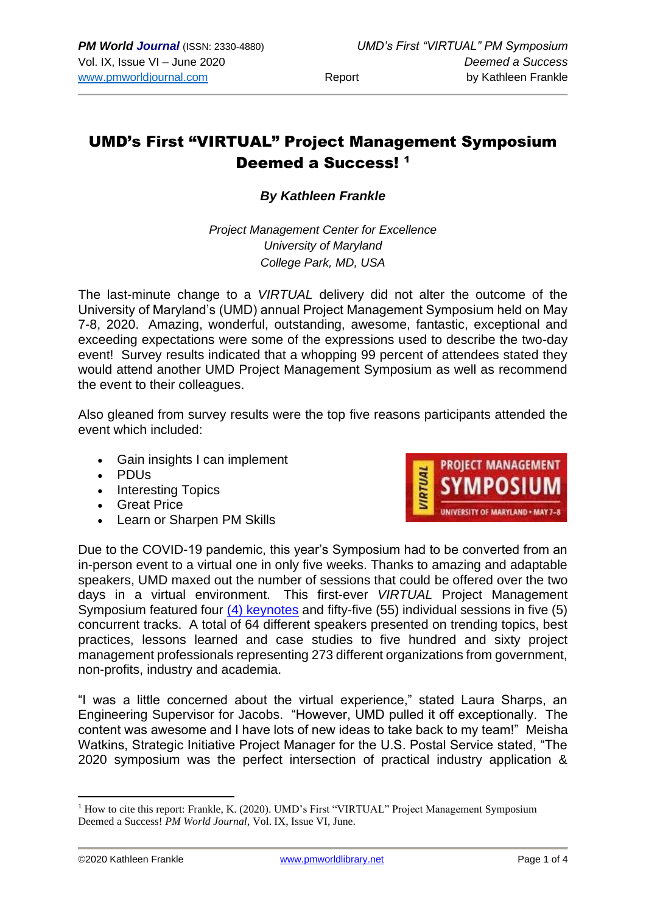## UMD's First "VIRTUAL" Project Management Symposium Deemed a Success! 1

## *By Kathleen Frankle*

*Project Management Center for Excellence University of Maryland College Park, MD, USA*

The last-minute change to a *VIRTUAL* delivery did not alter the outcome of the University of Maryland's (UMD) annual Project Management Symposium held on May 7-8, 2020. Amazing, wonderful, outstanding, awesome, fantastic, exceptional and exceeding expectations were some of the expressions used to describe the two-day event! Survey results indicated that a whopping 99 percent of attendees stated they would attend another UMD Project Management Symposium as well as recommend the event to their colleagues.

Also gleaned from survey results were the top five reasons participants attended the event which included:

- Gain insights I can implement
- PDUs
- Interesting Topics
- Great Price
- Learn or Sharpen PM Skills



Due to the COVID-19 pandemic, this year's Symposium had to be converted from an in-person event to a virtual one in only five weeks. Thanks to amazing and adaptable speakers, UMD maxed out the number of sessions that could be offered over the two days in a virtual environment. This first-ever *VIRTUAL* Project Management Symposium featured four  $(4)$  keynotes and fifty-five (55) individual sessions in five (5) concurrent tracks. A total of 64 different speakers presented on trending topics, best practices, lessons learned and case studies to five hundred and sixty project management professionals representing 273 different organizations from government, non-profits, industry and academia.

"I was a little concerned about the virtual experience," stated Laura Sharps, an Engineering Supervisor for Jacobs. "However, UMD pulled it off exceptionally. The content was awesome and I have lots of new ideas to take back to my team!" Meisha Watkins, Strategic Initiative Project Manager for the U.S. Postal Service stated, "The 2020 symposium was the perfect intersection of practical industry application &

<sup>&</sup>lt;sup>1</sup> How to cite this report: Frankle, K. (2020). UMD's First "VIRTUAL" Project Management Symposium Deemed a Success! *PM World Journal*, Vol. IX, Issue VI, June.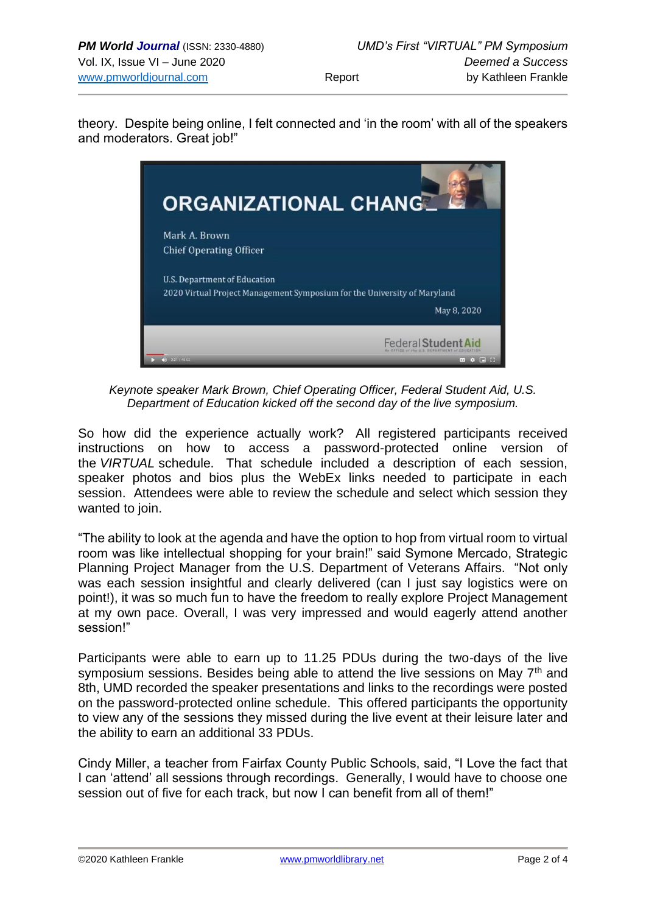theory. Despite being online, I felt connected and 'in the room' with all of the speakers and moderators. Great job!"



*Keynote speaker Mark Brown, Chief Operating Officer, Federal Student Aid, U.S. Department of Education kicked off the second day of the live symposium.*

So how did the experience actually work? All registered participants received instructions on how to access a password-protected online version of the *VIRTUAL* schedule. That schedule included a description of each session, speaker photos and bios plus the WebEx links needed to participate in each session. Attendees were able to review the schedule and select which session they wanted to join.

"The ability to look at the agenda and have the option to hop from virtual room to virtual room was like intellectual shopping for your brain!" said Symone Mercado, Strategic Planning Project Manager from the U.S. Department of Veterans Affairs. "Not only was each session insightful and clearly delivered (can I just say logistics were on point!), it was so much fun to have the freedom to really explore Project Management at my own pace. Overall, I was very impressed and would eagerly attend another session!"

Participants were able to earn up to 11.25 PDUs during the two-days of the live symposium sessions. Besides being able to attend the live sessions on May  $7<sup>th</sup>$  and 8th, UMD recorded the speaker presentations and links to the recordings were posted on the password-protected online schedule. This offered participants the opportunity to view any of the sessions they missed during the live event at their leisure later and the ability to earn an additional 33 PDUs.

Cindy Miller, a teacher from Fairfax County Public Schools, said, "I Love the fact that I can 'attend' all sessions through recordings. Generally, I would have to choose one session out of five for each track, but now I can benefit from all of them!"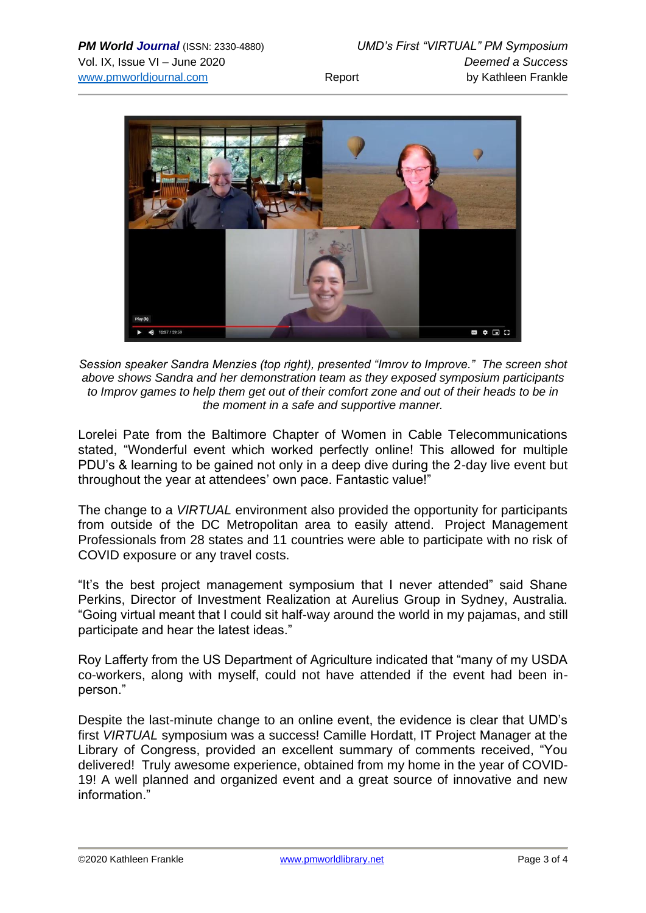

*Session speaker Sandra Menzies (top right), presented "Imrov to Improve." The screen shot above shows Sandra and her demonstration team as they exposed symposium participants to Improv games to help them get out of their comfort zone and out of their heads to be in the moment in a safe and supportive manner.*

Lorelei Pate from the Baltimore Chapter of Women in Cable Telecommunications stated, "Wonderful event which worked perfectly online! This allowed for multiple PDU's & learning to be gained not only in a deep dive during the 2-day live event but throughout the year at attendees' own pace. Fantastic value!"

The change to a *VIRTUAL* environment also provided the opportunity for participants from outside of the DC Metropolitan area to easily attend. Project Management Professionals from 28 states and 11 countries were able to participate with no risk of COVID exposure or any travel costs.

"It's the best project management symposium that I never attended" said Shane Perkins, Director of Investment Realization at Aurelius Group in Sydney, Australia. "Going virtual meant that I could sit half-way around the world in my pajamas, and still participate and hear the latest ideas."

Roy Lafferty from the US Department of Agriculture indicated that "many of my USDA co-workers, along with myself, could not have attended if the event had been inperson."

Despite the last-minute change to an online event, the evidence is clear that UMD's first *VIRTUAL* symposium was a success! Camille Hordatt, IT Project Manager at the Library of Congress, provided an excellent summary of comments received, "You delivered! Truly awesome experience, obtained from my home in the year of COVID-19! A well planned and organized event and a great source of innovative and new information."